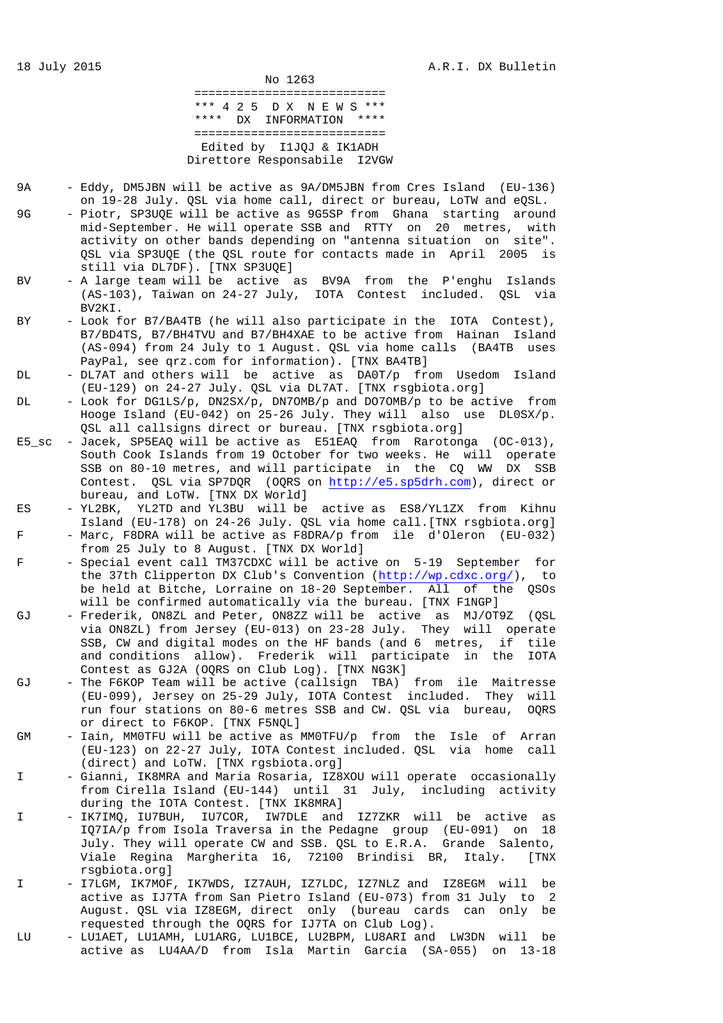No 1263 =========================== \*\*\* 4 2 5 D X N E W S \*\*\* \*\*\*\* DX INFORMATION \*\*\*\* =========================== Edited by I1JQJ & IK1ADH Direttore Responsabile I2VGW

- 9A Eddy, DM5JBN will be active as 9A/DM5JBN from Cres Island (EU-136) on 19-28 July. QSL via home call, direct or bureau, LoTW and eQSL.
- 9G Piotr, SP3UQE will be active as 9G5SP from Ghana starting around mid-September. He will operate SSB and RTTY on 20 metres, with activity on other bands depending on "antenna situation on site". QSL via SP3UQE (the QSL route for contacts made in April 2005 is still via DL7DF). [TNX SP3UQE]
- BV A large team will be active as BV9A from the P'enghu Islands (AS-103), Taiwan on 24-27 July, IOTA Contest included. QSL via BV2KI.
- BY Look for B7/BA4TB (he will also participate in the IOTA Contest), B7/BD4TS, B7/BH4TVU and B7/BH4XAE to be active from Hainan Island (AS-094) from 24 July to 1 August. QSL via home calls (BA4TB uses PayPal, see qrz.com for information). [TNX BA4TB]
- DL DL7AT and others will be active as DA0T/p from Usedom Island (EU-129) on 24-27 July. QSL via DL7AT. [TNX rsgbiota.org]
- DL Look for DG1LS/p, DN2SX/p, DN7OMB/p and DO7OMB/p to be active from Hooge Island (EU-042) on 25-26 July. They will also use DL0SX/p. QSL all callsigns direct or bureau. [TNX rsgbiota.org]
- E5\_sc Jacek, SP5EAQ will be active as E51EAQ from Rarotonga (OC-013), South Cook Islands from 19 October for two weeks. He will operate SSB on 80-10 metres, and will participate in the CQ WW DX SSB Contest. QSL via SP7DQR (OQRS on http://e5.sp5drh.com), direct or bureau, and LoTW. [TNX DX World]
- ES YL2BK, YL2TD and YL3BU will be active as ES8/YL1ZX from Kihnu Island (EU-178) on 24-26 July. QSL via home call.[TNX rsgbiota.org] F - Marc, F8DRA will be active as F8DRA/p from ile d'Oleron (EU-032)

from 25 July to 8 August. [TNX DX World]

- F Special event call TM37CDXC will be active on 5-19 September for the 37th Clipperton DX Club's Convention (http://wp.cdxc.org/), to be held at Bitche, Lorraine on 18-20 September. All of the QSOs will be confirmed automatically via the bureau. [TNX F1NGP]
- GJ Frederik, ON8ZL and Peter, ON8ZZ will be active as MJ/OT9Z (QSL via ON8ZL) from Jersey (EU-013) on 23-28 July. They will operate SSB, CW and digital modes on the HF bands (and 6 metres, if tile and conditions allow). Frederik will participate in the IOTA Contest as GJ2A (OQRS on Club Log). [TNX NG3K]
- GJ The F6KOP Team will be active (callsign TBA) from ile Maitresse (EU-099), Jersey on 25-29 July, IOTA Contest included. They will run four stations on 80-6 metres SSB and CW. QSL via bureau, OQRS or direct to F6KOP. [TNX F5NQL]
- GM Iain, MM0TFU will be active as MM0TFU/p from the Isle of Arran (EU-123) on 22-27 July, IOTA Contest included. QSL via home call (direct) and LoTW. [TNX rgsbiota.org]
- I Gianni, IK8MRA and Maria Rosaria, IZ8XOU will operate occasionally from Cirella Island (EU-144) until 31 July, including activity during the IOTA Contest. [TNX IK8MRA]
- I IK7IMQ, IU7BUH, IU7COR, IW7DLE and IZ7ZKR will be active as IQ7IA/p from Isola Traversa in the Pedagne group (EU-091) on 18 July. They will operate CW and SSB. QSL to E.R.A. Grande Salento, Viale Regina Margherita 16, 72100 Brindisi BR, Italy. [TNX rsgbiota.org]
- I I7LGM, IK7MOF, IK7WDS, IZ7AUH, IZ7LDC, IZ7NLZ and IZ8EGM will be active as IJ7TA from San Pietro Island (EU-073) from 31 July to 2 August. QSL via IZ8EGM, direct only (bureau cards can only be requested through the OQRS for IJ7TA on Club Log).
- LU LU1AET, LU1AMH, LU1ARG, LU1BCE, LU2BPM, LU8ARI and LW3DN will be active as LU4AA/D from Isla Martin Garcia (SA-055) on 13-18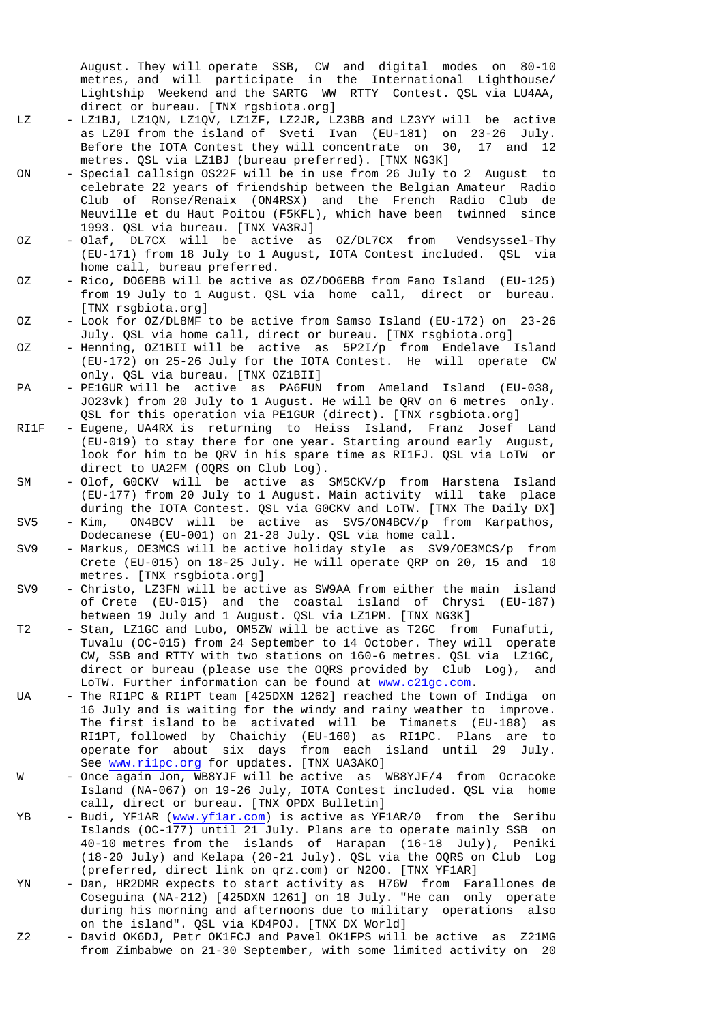August. They will operate SSB, CW and digital modes on 80-10 metres, and will participate in the International Lighthouse/ Lightship Weekend and the SARTG WW RTTY Contest. QSL via LU4AA, direct or bureau. [TNX rgsbiota.org]

- LZ LZ1BJ, LZ1QN, LZ1QV, LZ1ZF, LZ2JR, LZ3BB and LZ3YY will be active as LZ0I from the island of Sveti Ivan (EU-181) on 23-26 July. Before the IOTA Contest they will concentrate on 30, 17 and 12 metres. QSL via LZ1BJ (bureau preferred). [TNX NG3K]
- ON Special callsign OS22F will be in use from 26 July to 2 August to celebrate 22 years of friendship between the Belgian Amateur Radio Club of Ronse/Renaix (ON4RSX) and the French Radio Club de Neuville et du Haut Poitou (F5KFL), which have been twinned since 1993. QSL via bureau. [TNX VA3RJ]
- OZ Olaf, DL7CX will be active as OZ/DL7CX from Vendsyssel-Thy (EU-171) from 18 July to 1 August, IOTA Contest included. QSL via home call, bureau preferred.
- OZ Rico, DO6EBB will be active as OZ/DO6EBB from Fano Island (EU-125) from 19 July to 1 August. QSL via home call, direct or bureau. [TNX rsgbiota.org]
- OZ Look for OZ/DL8MF to be active from Samso Island (EU-172) on 23-26 July. QSL via home call, direct or bureau. [TNX rsgbiota.org]
- OZ Henning, OZ1BII will be active as 5P2I/p from Endelave Island (EU-172) on 25-26 July for the IOTA Contest. He will operate CW only. QSL via bureau. [TNX OZ1BII]
- PA PE1GUR will be active as PA6FUN from Ameland Island (EU-038, JO23vk) from 20 July to 1 August. He will be QRV on 6 metres only. QSL for this operation via PE1GUR (direct). [TNX rsgbiota.org]
- RI1F Eugene, UA4RX is returning to Heiss Island, Franz Josef Land (EU-019) to stay there for one year. Starting around early August, look for him to be QRV in his spare time as RI1FJ. QSL via LoTW or direct to UA2FM (OQRS on Club Log).
- SM Olof, G0CKV will be active as SM5CKV/p from Harstena Island (EU-177) from 20 July to 1 August. Main activity will take place during the IOTA Contest. QSL via G0CKV and LoTW. [TNX The Daily DX]
- SV5 Kim, ON4BCV will be active as SV5/ON4BCV/p from Karpathos, Dodecanese (EU-001) on 21-28 July. QSL via home call.
- SV9 Markus, OE3MCS will be active holiday style as SV9/OE3MCS/p from Crete (EU-015) on 18-25 July. He will operate QRP on 20, 15 and 10 metres. [TNX rsgbiota.org]
- SV9 Christo, LZ3FN will be active as SW9AA from either the main island of Crete (EU-015) and the coastal island of Chrysi (EU-187) between 19 July and 1 August. QSL via LZ1PM. [TNX NG3K]
- T2 Stan, LZ1GC and Lubo, OM5ZW will be active as T2GC from Funafuti, Tuvalu (OC-015) from 24 September to 14 October. They will operate CW, SSB and RTTY with two stations on 160-6 metres. QSL via LZ1GC, direct or bureau (please use the OQRS provided by Club Log), and LoTW. Further information can be found at www.c21gc.com.
- UA The RI1PC & RI1PT team [425DXN 1262] reached the town of Indiga on 16 July and is waiting for the windy and rainy weather to improve. The first island to be activated will be Timanets (EU-188) as RI1PT, followed by Chaichiy (EU-160) as RI1PC. Plans are to operate for about six days from each island until 29 July. See www.ri1pc.org for updates. [TNX UA3AKO]
- W Once again Jon, WB8YJF will be active as WB8YJF/4 from Ocracoke Island (NA-067) on 19-26 July, IOTA Contest included. QSL via home call, direct or bureau. [TNX OPDX Bulletin]
- YB Budi, YF1AR (www.yf1ar.com) is active as YF1AR/0 from the Seribu Islands (OC-177) until 21 July. Plans are to operate mainly SSB on 40-10 metres from the islands of Harapan (16-18 July), Peniki (18-20 July) and Kelapa (20-21 July). QSL via the OQRS on Club Log (preferred, direct link on qrz.com) or N2OO. [TNX YF1AR]
- YN Dan, HR2DMR expects to start activity as H76W from Farallones de Coseguina (NA-212) [425DXN 1261] on 18 July. "He can only operate during his morning and afternoons due to military operations also on the island". QSL via KD4POJ. [TNX DX World]
- Z2 David OK6DJ, Petr OK1FCJ and Pavel OK1FPS will be active as Z21MG from Zimbabwe on 21-30 September, with some limited activity on 20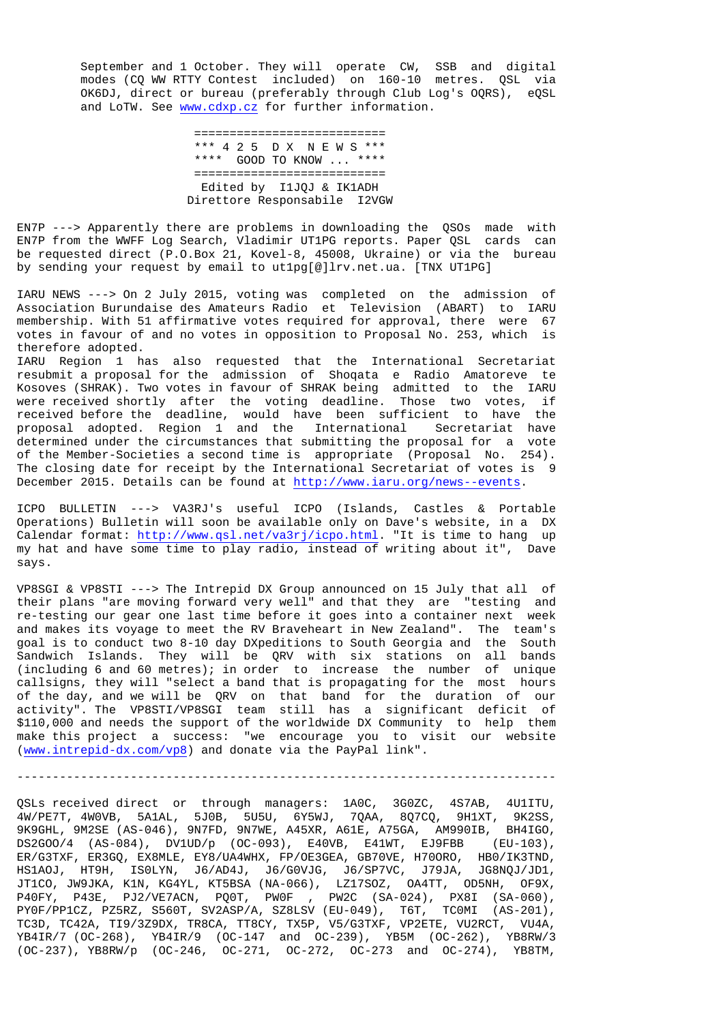September and 1 October. They will operate CW, SSB and digital modes (CQ WW RTTY Contest included) on 160-10 metres. QSL via OK6DJ, direct or bureau (preferably through Club Log's OQRS), eQSL and LoTW. See www.cdxp.cz for further information.

> =========================== \*\*\* 4 2 5 D X N E W S \*\*\* \*\*\*\* GOOD TO KNOW ... \*\*\*\* =========================== Edited by I1JQJ & IK1ADH Direttore Responsabile I2VGW

EN7P ---> Apparently there are problems in downloading the QSOs made with EN7P from the WWFF Log Search, Vladimir UT1PG reports. Paper QSL cards can be requested direct (P.O.Box 21, Kovel-8, 45008, Ukraine) or via the bureau by sending your request by email to ut1pg[@]lrv.net.ua. [TNX UT1PG]

IARU NEWS ---> On 2 July 2015, voting was completed on the admission of Association Burundaise des Amateurs Radio et Television (ABART) to IARU membership. With 51 affirmative votes required for approval, there were 67 votes in favour of and no votes in opposition to Proposal No. 253, which is therefore adopted.

IARU Region 1 has also requested that the International Secretariat resubmit a proposal for the admission of Shoqata e Radio Amatoreve te Kosoves (SHRAK). Two votes in favour of SHRAK being admitted to the IARU were received shortly after the voting deadline. Those two votes, if received before the deadline, would have been sufficient to have the proposal adopted. Region 1 and the International Secretariat have determined under the circumstances that submitting the proposal for a vote of the Member-Societies a second time is appropriate (Proposal No. 254). The closing date for receipt by the International Secretariat of votes is 9 December 2015. Details can be found at http://www.iaru.org/news--events.

ICPO BULLETIN ---> VA3RJ's useful ICPO (Islands, Castles & Portable Operations) Bulletin will soon be available only on Dave's website, in a DX Calendar format: http://www.qsl.net/va3rj/icpo.html. "It is time to hang up my hat and have some time to play radio, instead of writing about it", Dave says.

VP8SGI & VP8STI ---> The Intrepid DX Group announced on 15 July that all of their plans "are moving forward very well" and that they are "testing and re-testing our gear one last time before it goes into a container next week and makes its voyage to meet the RV Braveheart in New Zealand". The team's goal is to conduct two 8-10 day DXpeditions to South Georgia and the South Sandwich Islands. They will be QRV with six stations on all bands (including 6 and 60 metres); in order to increase the number of unique callsigns, they will "select a band that is propagating for the most hours of the day, and we will be QRV on that band for the duration of our activity". The VP8STI/VP8SGI team still has a significant deficit of \$110,000 and needs the support of the worldwide DX Community to help them make this project a success: "we encourage you to visit our website (www.intrepid-dx.com/vp8) and donate via the PayPal link".

----------------------------------------------------------------------------

QSLs received direct or through managers: 1A0C, 3G0ZC, 4S7AB, 4U1ITU, 4W/PE7T, 4W0VB, 5A1AL, 5J0B, 5U5U, 6Y5WJ, 7QAA, 8Q7CQ, 9H1XT, 9K2SS, 9K9GHL, 9M2SE (AS-046), 9N7FD, 9N7WE, A45XR, A61E, A75GA, AM990IB, BH4IGO, DS2GOO/4 (AS-084), DV1UD/p (OC-093), E40VB, E41WT, EJ9FBB (EU-103), ER/G3TXF, ER3GQ, EX8MLE, EY8/UA4WHX, FP/OE3GEA, GB70VE, H70ORO, HB0/IK3TND, HS1AOJ, HT9H, IS0LYN, J6/AD4J, J6/G0VJG, J6/SP7VC, J79JA, JG8NQJ/JD1, JT1CO, JW9JKA, K1N, KG4YL, KT5BSA (NA-066), LZ17SOZ, OA4TT, OD5NH, OF9X, P40FY, P43E, PJ2/VE7ACN, PQ0T, PW0F , PW2C (SA-024), PX8I (SA-060), PY0F/PP1CZ, PZ5RZ, S560T, SV2ASP/A, SZ8LSV (EU-049), T6T, TC0MI (AS-201), TC3D, TC42A, TI9/3Z9DX, TR8CA, TT8CY, TX5P, V5/G3TXF, VP2ETE, VU2RCT, VU4A, YB4IR/7 (OC-268), YB4IR/9 (OC-147 and OC-239), YB5M (OC-262), YB8RW/3 (OC-237), YB8RW/p (OC-246, OC-271, OC-272, OC-273 and OC-274), YB8TM,